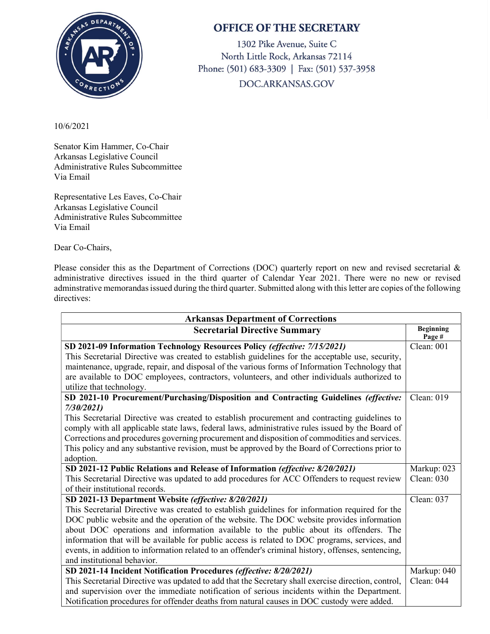

## **OFFICE OF THE SECRETARY**

1302 Pike Avenue, Suite C North Little Rock, Arkansas 72114 Phone: (501) 683-3309 | Fax: (501) 537-3958 DOC.ARKANSAS.GOV

## 10/6/2021

Senator Kim Hammer, Co-Chair Arkansas Legislative Council Administrative Rules Subcommittee Via Email

Representative Les Eaves, Co-Chair Arkansas Legislative Council Administrative Rules Subcommittee Via Email

Dear Co-Chairs,

Please consider this as the Department of Corrections (DOC) quarterly report on new and revised secretarial & administrative directives issued in the third quarter of Calendar Year 2021. There were no new or revised adminstrative memorandas issued during the third quarter. Submitted along with this letter are copies of the following directives:

| <b>Arkansas Department of Corrections</b>                                                           |                           |
|-----------------------------------------------------------------------------------------------------|---------------------------|
| <b>Secretarial Directive Summary</b>                                                                | <b>Beginning</b><br>Page# |
| SD 2021-09 Information Technology Resources Policy (effective: 7/15/2021)                           | Clean: 001                |
| This Secretarial Directive was created to establish guidelines for the acceptable use, security,    |                           |
| maintenance, upgrade, repair, and disposal of the various forms of Information Technology that      |                           |
| are available to DOC employees, contractors, volunteers, and other individuals authorized to        |                           |
| utilize that technology.                                                                            |                           |
| SD 2021-10 Procurement/Purchasing/Disposition and Contracting Guidelines (effective:                | Clean: 019                |
| 7/30/2021                                                                                           |                           |
| This Secretarial Directive was created to establish procurement and contracting guidelines to       |                           |
| comply with all applicable state laws, federal laws, administrative rules issued by the Board of    |                           |
| Corrections and procedures governing procurement and disposition of commodities and services.       |                           |
| This policy and any substantive revision, must be approved by the Board of Corrections prior to     |                           |
| adoption.                                                                                           |                           |
| SD 2021-12 Public Relations and Release of Information (effective: 8/20/2021)                       | Markup: 023               |
| This Secretarial Directive was updated to add procedures for ACC Offenders to request review        | Clean: 030                |
| of their institutional records.                                                                     |                           |
| SD 2021-13 Department Website (effective: 8/20/2021)                                                | Clean: 037                |
| This Secretarial Directive was created to establish guidelines for information required for the     |                           |
| DOC public website and the operation of the website. The DOC website provides information           |                           |
| about DOC operations and information available to the public about its offenders. The               |                           |
| information that will be available for public access is related to DOC programs, services, and      |                           |
| events, in addition to information related to an offender's criminal history, offenses, sentencing, |                           |
| and institutional behavior.                                                                         |                           |
| SD 2021-14 Incident Notification Procedures (effective: 8/20/2021)                                  | Markup: 040               |
| This Secretarial Directive was updated to add that the Secretary shall exercise direction, control, | Clean: 044                |
| and supervision over the immediate notification of serious incidents within the Department.         |                           |
| Notification procedures for offender deaths from natural causes in DOC custody were added.          |                           |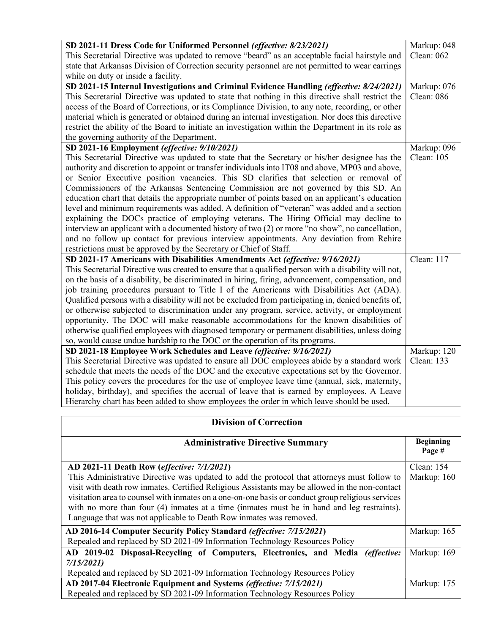| SD 2021-11 Dress Code for Uniformed Personnel (effective: 8/23/2021)                                 | Markup: 048 |
|------------------------------------------------------------------------------------------------------|-------------|
| This Secretarial Directive was updated to remove "beard" as an acceptable facial hairstyle and       | Clean: 062  |
| state that Arkansas Division of Correction security personnel are not permitted to wear earrings     |             |
| while on duty or inside a facility.                                                                  |             |
| SD 2021-15 Internal Investigations and Criminal Evidence Handling (effective: 8/24/2021)             | Markup: 076 |
| This Secretarial Directive was updated to state that nothing in this directive shall restrict the    | Clean: 086  |
| access of the Board of Corrections, or its Compliance Division, to any note, recording, or other     |             |
| material which is generated or obtained during an internal investigation. Nor does this directive    |             |
| restrict the ability of the Board to initiate an investigation within the Department in its role as  |             |
| the governing authority of the Department.                                                           |             |
| SD 2021-16 Employment (effective: 9/10/2021)                                                         | Markup: 096 |
| This Secretarial Directive was updated to state that the Secretary or his/her designee has the       | Clean: 105  |
| authority and discretion to appoint or transfer individuals into IT08 and above, MP03 and above,     |             |
| or Senior Executive position vacancies. This SD clarifies that selection or removal of               |             |
| Commissioners of the Arkansas Sentencing Commission are not governed by this SD. An                  |             |
| education chart that details the appropriate number of points based on an applicant's education      |             |
| level and minimum requirements was added. A definition of "veteran" was added and a section          |             |
| explaining the DOCs practice of employing veterans. The Hiring Official may decline to               |             |
| interview an applicant with a documented history of two (2) or more "no show", no cancellation,      |             |
| and no follow up contact for previous interview appointments. Any deviation from Rehire              |             |
| restrictions must be approved by the Secretary or Chief of Staff.                                    |             |
| SD 2021-17 Americans with Disabilities Amendments Act (effective: 9/16/2021)                         | Clean: 117  |
| This Secretarial Directive was created to ensure that a qualified person with a disability will not, |             |
| on the basis of a disability, be discriminated in hiring, firing, advancement, compensation, and     |             |
| job training procedures pursuant to Title I of the Americans with Disabilities Act (ADA).            |             |
| Qualified persons with a disability will not be excluded from participating in, denied benefits of,  |             |
| or otherwise subjected to discrimination under any program, service, activity, or employment         |             |
| opportunity. The DOC will make reasonable accommodations for the known disabilities of               |             |
| otherwise qualified employees with diagnosed temporary or permanent disabilities, unless doing       |             |
| so, would cause undue hardship to the DOC or the operation of its programs.                          |             |
| SD 2021-18 Employee Work Schedules and Leave (effective: 9/16/2021)                                  | Markup: 120 |
| This Secretarial Directive was updated to ensure all DOC employees abide by a standard work          | Clean: 133  |
| schedule that meets the needs of the DOC and the executive expectations set by the Governor.         |             |
| This policy covers the procedures for the use of employee leave time (annual, sick, maternity,       |             |
| holiday, birthday), and specifies the accrual of leave that is earned by employees. A Leave          |             |
| Hierarchy chart has been added to show employees the order in which leave should be used.            |             |

## Division of Correction

| <b>Administrative Directive Summary</b>                                                           | <b>Beginning</b> |
|---------------------------------------------------------------------------------------------------|------------------|
|                                                                                                   | Page #           |
| AD 2021-11 Death Row ( <i>effective:</i> 7/1/2021)                                                | Clean: $154$     |
| This Administrative Directive was updated to add the protocol that attorneys must follow to       | Markup: 160      |
| visit with death row inmates. Certified Religious Assistants may be allowed in the non-contact    |                  |
| visitation area to counsel with inmates on a one-on-one basis or conduct group religious services |                  |
| with no more than four (4) inmates at a time (inmates must be in hand and leg restraints).        |                  |
| Language that was not applicable to Death Row inmates was removed.                                |                  |
| AD 2016-14 Computer Security Policy Standard (effective: 7/15/2021)                               | Markup: 165      |
| Repealed and replaced by SD 2021-09 Information Technology Resources Policy                       |                  |
| AD 2019-02 Disposal-Recycling of Computers, Electronics, and Media (effective:                    | Markup: 169      |
| 7/15/2021                                                                                         |                  |
| Repealed and replaced by SD 2021-09 Information Technology Resources Policy                       |                  |
| AD 2017-04 Electronic Equipment and Systems (effective: 7/15/2021)                                | Markup: 175      |
| Repealed and replaced by SD 2021-09 Information Technology Resources Policy                       |                  |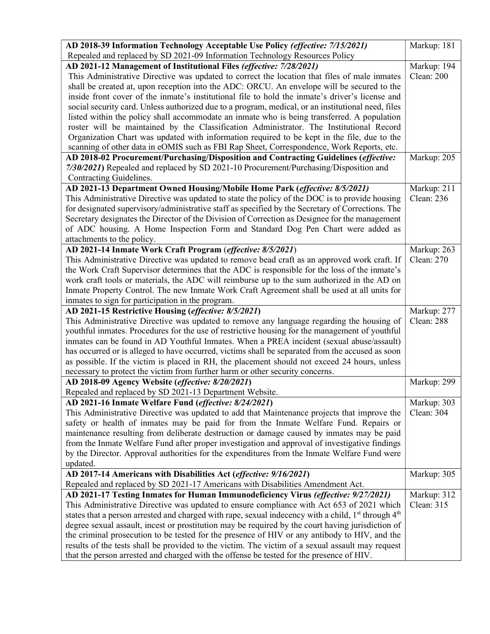| AD 2018-39 Information Technology Acceptable Use Policy (effective: 7/15/2021)                                                                                                    | Markup: 181 |
|-----------------------------------------------------------------------------------------------------------------------------------------------------------------------------------|-------------|
| Repealed and replaced by SD 2021-09 Information Technology Resources Policy                                                                                                       |             |
| AD 2021-12 Management of Institutional Files (effective: 7/28/2021)                                                                                                               | Markup: 194 |
| This Administrative Directive was updated to correct the location that files of male inmates                                                                                      | Clean: 200  |
| shall be created at, upon reception into the ADC: ORCU. An envelope will be secured to the                                                                                        |             |
| inside front cover of the inmate's institutional file to hold the inmate's driver's license and                                                                                   |             |
| social security card. Unless authorized due to a program, medical, or an institutional need, files                                                                                |             |
| listed within the policy shall accommodate an inmate who is being transferred. A population                                                                                       |             |
| roster will be maintained by the Classification Administrator. The Institutional Record                                                                                           |             |
| Organization Chart was updated with information required to be kept in the file, due to the                                                                                       |             |
| scanning of other data in eOMIS such as FBI Rap Sheet, Correspondence, Work Reports, etc.                                                                                         |             |
| AD 2018-02 Procurement/Purchasing/Disposition and Contracting Guidelines (effective:                                                                                              | Markup: 205 |
| 7/30/2021) Repealed and replaced by SD 2021-10 Procurement/Purchasing/Disposition and                                                                                             |             |
| Contracting Guidelines.                                                                                                                                                           |             |
| AD 2021-13 Department Owned Housing/Mobile Home Park (effective: 8/5/2021)                                                                                                        | Markup: 211 |
| This Administrative Directive was updated to state the policy of the DOC is to provide housing                                                                                    | Clean: 236  |
| for designated supervisory/administrative staff as specified by the Secretary of Corrections. The                                                                                 |             |
| Secretary designates the Director of the Division of Correction as Designee for the management                                                                                    |             |
| of ADC housing. A Home Inspection Form and Standard Dog Pen Chart were added as                                                                                                   |             |
| attachments to the policy.                                                                                                                                                        |             |
| AD 2021-14 Inmate Work Craft Program (effective: 8/5/2021)                                                                                                                        | Markup: 263 |
| This Administrative Directive was updated to remove bead craft as an approved work craft. If                                                                                      | Clean: 270  |
| the Work Craft Supervisor determines that the ADC is responsible for the loss of the inmate's                                                                                     |             |
| work craft tools or materials, the ADC will reimburse up to the sum authorized in the AD on                                                                                       |             |
| Inmate Property Control. The new Inmate Work Craft Agreement shall be used at all units for                                                                                       |             |
| inmates to sign for participation in the program.                                                                                                                                 |             |
| AD 2021-15 Restrictive Housing (effective: 8/5/2021)                                                                                                                              | Markup: 277 |
| This Administrative Directive was updated to remove any language regarding the housing of                                                                                         | Clean: 288  |
| youthful inmates. Procedures for the use of restrictive housing for the management of youthful                                                                                    |             |
| inmates can be found in AD Youthful Inmates. When a PREA incident (sexual abuse/assault)                                                                                          |             |
| has occurred or is alleged to have occurred, victims shall be separated from the accused as soon                                                                                  |             |
| as possible. If the victim is placed in RH, the placement should not exceed 24 hours, unless                                                                                      |             |
| necessary to protect the victim from further harm or other security concerns.                                                                                                     |             |
| AD 2018-09 Agency Website (effective: 8/20/2021)                                                                                                                                  | Markup: 299 |
| Repealed and replaced by SD 2021-13 Department Website.                                                                                                                           |             |
| AD 2021-16 Inmate Welfare Fund (effective: 8/24/2021)                                                                                                                             | Markup: 303 |
| This Administrative Directive was updated to add that Maintenance projects that improve the                                                                                       | Clean: 304  |
| safety or health of inmates may be paid for from the Inmate Welfare Fund. Repairs or<br>maintenance resulting from deliberate destruction or damage caused by inmates may be paid |             |
|                                                                                                                                                                                   |             |
| from the Inmate Welfare Fund after proper investigation and approval of investigative findings                                                                                    |             |
| by the Director. Approval authorities for the expenditures from the Inmate Welfare Fund were<br>updated.                                                                          |             |
|                                                                                                                                                                                   |             |
| AD 2017-14 Americans with Disabilities Act (effective: 9/16/2021)<br>Repealed and replaced by SD 2021-17 Americans with Disabilities Amendment Act.                               | Markup: 305 |
| AD 2021-17 Testing Inmates for Human Immunodeficiency Virus (effective: 9/27/2021)                                                                                                | Markup: 312 |
| This Administrative Directive was updated to ensure compliance with Act 653 of 2021 which                                                                                         | Clean: 315  |
| states that a person arrested and charged with rape, sexual indecency with a child, $1st$ through $4th$                                                                           |             |
| degree sexual assault, incest or prostitution may be required by the court having jurisdiction of                                                                                 |             |
| the criminal prosecution to be tested for the presence of HIV or any antibody to HIV, and the                                                                                     |             |
| results of the tests shall be provided to the victim. The victim of a sexual assault may request                                                                                  |             |
| that the person arrested and charged with the offense be tested for the presence of HIV.                                                                                          |             |